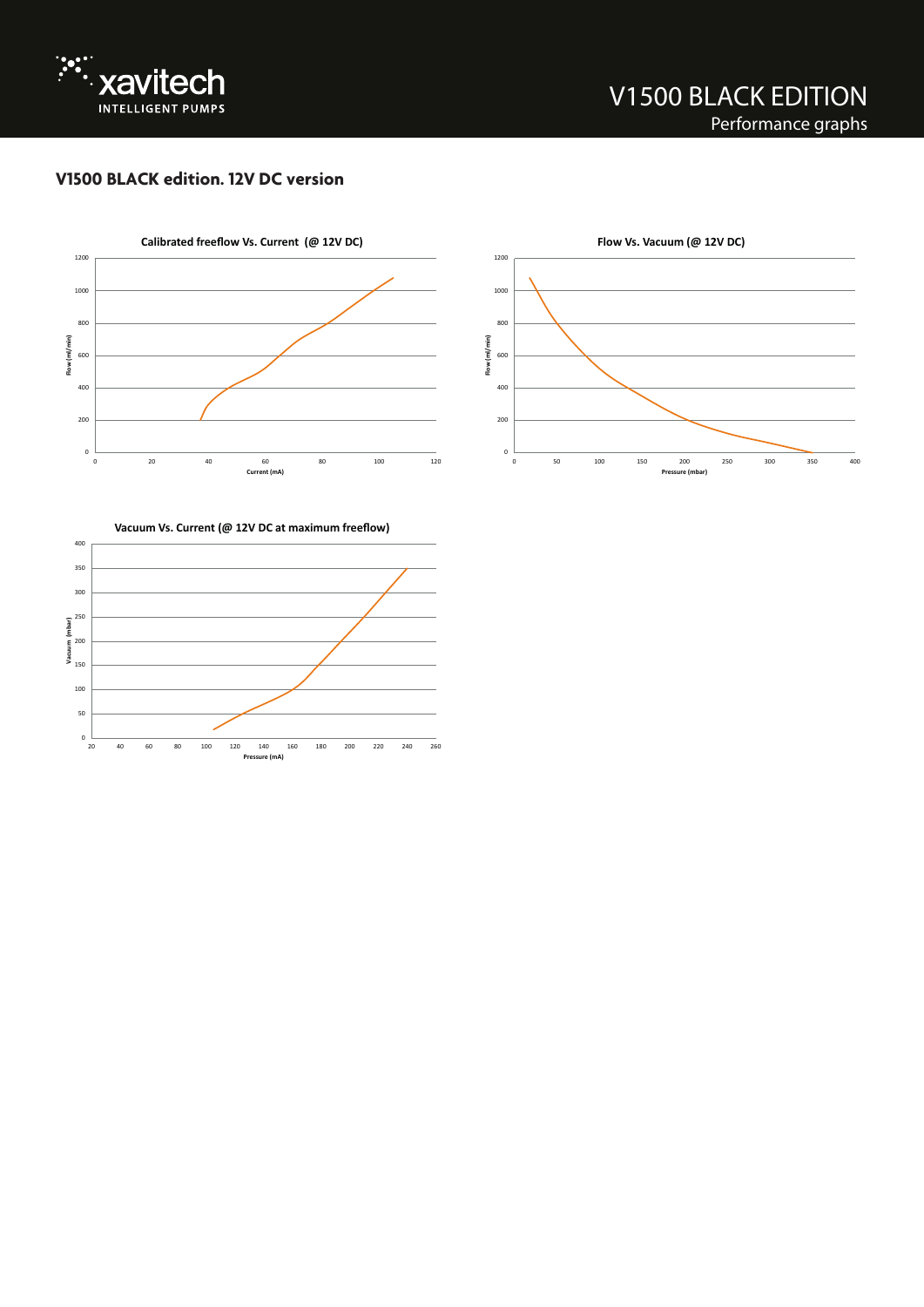

## **V1500 BLACK edition. 12V DC version**





**Vacuum Vs. Current (@ 12V DC at maximum freeflow)**